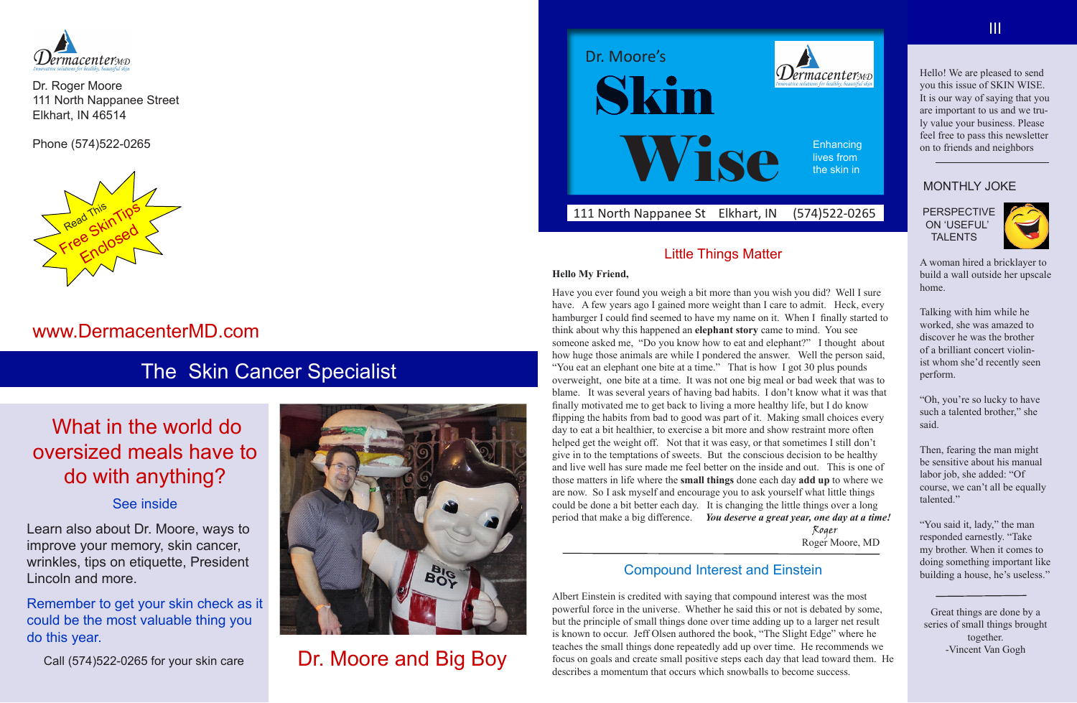#### 111 North Nappanee St Elkhart, IN (574)522-0265



#### Little Things Matter

#### **Hello My Friend,**

Have you ever found you weigh a bit more than you wish you did? Well I sure have. A few years ago I gained more weight than I care to admit. Heck, every hamburger I could find seemed to have my name on it. When I finally started to think about why this happened an **elephant story** came to mind. You see someone asked me, "Do you know how to eat and elephant?" I thought about how huge those animals are while I pondered the answer. Well the person said, "You eat an elephant one bite at a time." That is how I got 30 plus pounds overweight, one bite at a time. It was not one big meal or bad week that was to blame. It was several years of having bad habits. I don't know what it was that finally motivated me to get back to living a more healthy life, but I do know flipping the habits from bad to good was part of it. Making small choices every day to eat a bit healthier, to exercise a bit more and show restraint more often helped get the weight off. Not that it was easy, or that sometimes I still don't give in to the temptations of sweets. But the conscious decision to be healthy and live well has sure made me feel better on the inside and out. This is one of those matters in life where the **small things** done each day **add up** to where we are now. So I ask myself and encourage you to ask yourself what little things could be done a bit better each day. It is changing the little things over a long period that make a big difference. *You deserve a great year, one day at a time!* Roger

Roger Moore, MD

### Compound Interest and Einstein

**Enhancing** lives from the skin in

Albert Einstein is credited with saying that compound interest was the most powerful force in the universe. Whether he said this or not is debated by some, but the principle of small things done over time adding up to a larger net result is known to occur. Jeff Olsen authored the book, "The Slight Edge" where he teaches the small things done repeatedly add up over time. He recommends we focus on goals and create small positive steps each day that lead toward them. He describes a momentum that occurs which snowballs to become success.



Dr. Roger Moore 111 North Nappanee Street Elkhart, IN 46514

Phone (574)522-0265

## www.DermacenterMD.com

Dr. Moore and Big Boy

# The Skin Cancer Specialist

# What in the world do oversized meals have to do with anything?

#### See inside

Learn also about Dr. Moore, ways to improve your memory, skin cancer, wrinkles, tips on etiquette, President Lincoln and more.

Remember to get your skin check as it could be the most valuable thing you do this year.

Call (574)522-0265 for your skin care



Hello! We are pleased to send you this issue of SKIN WISE. It is our way of saying that you are important to us and we truly value your business. Please feel free to pass this newsletter on to friends and neighbors

#### MONTHLY JOKE

 PERSPECTIVE ON 'USEFUL' TALENTS



A woman hired a bricklayer to build a wall outside her upscale home.

Talking with him while he worked, she was amazed to discover he was the brother of a brilliant concert violinist whom she'd recently seen perform.

"Oh, you're so lucky to have such a talented brother," she said.

Then, fearing the man might be sensitive about his manual labor job, she added: "Of course, we can't all be equally talented."

"You said it, lady," the man responded earnestly. "Take my brother. When it comes to doing something important like building a house, he's useless."

Great things are done by a series of small things brought together. -Vincent Van Gogh